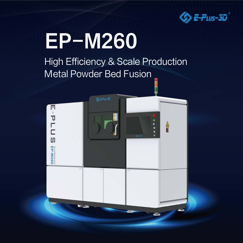

# EP-M260

High Efficiency & Scale Production Metal Powder Bed Fusion

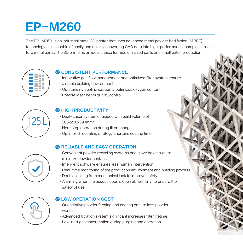### EP-M260

The EP-M260 is an industrial metal 3D printer that uses advanced metal powder bed fusion (MPBF) technology. It is capable of easily and quickly converting CAD data into high-performance, complex structure metal parts. The 3D printer is an ideal choice for medium sized parts and small batch production.



#### **»**CONSISTENT PERFORMANCE

- Innovative gas flow management and optimized filter system ensure a stable building environment.
- Outstanding sealing capability optimizes oxygen content.
- Precise laser beam quality control.



#### **»** HIGH PRODUCTIVITY

- Dual-Laser system equipped with build volume of 266x266x390mm³.
- Non-stop operation during filter change.
- Optimized recoating strategy shortens coating time .

#### **»** RELIABLE AND EASY OPERATION



- Convenient powder recycling systems and glove box structure minimize powder contact.
- Intelligent software ensures less human intervention.
- Real-time monitoring of the production environment and building process.
- Double locking from mechanical lock to improve safety.
- Alarming when the access door is open abnormally, to ensure the safety of use.

### **»** LOW OPERATION COST

- Quantitative powder feeding and coating ensure less powder waste.
- Advanced filtration system significant increases filter lifetime.
- Low inert gas consumption during purging and operation.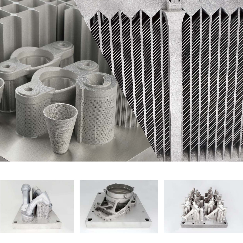